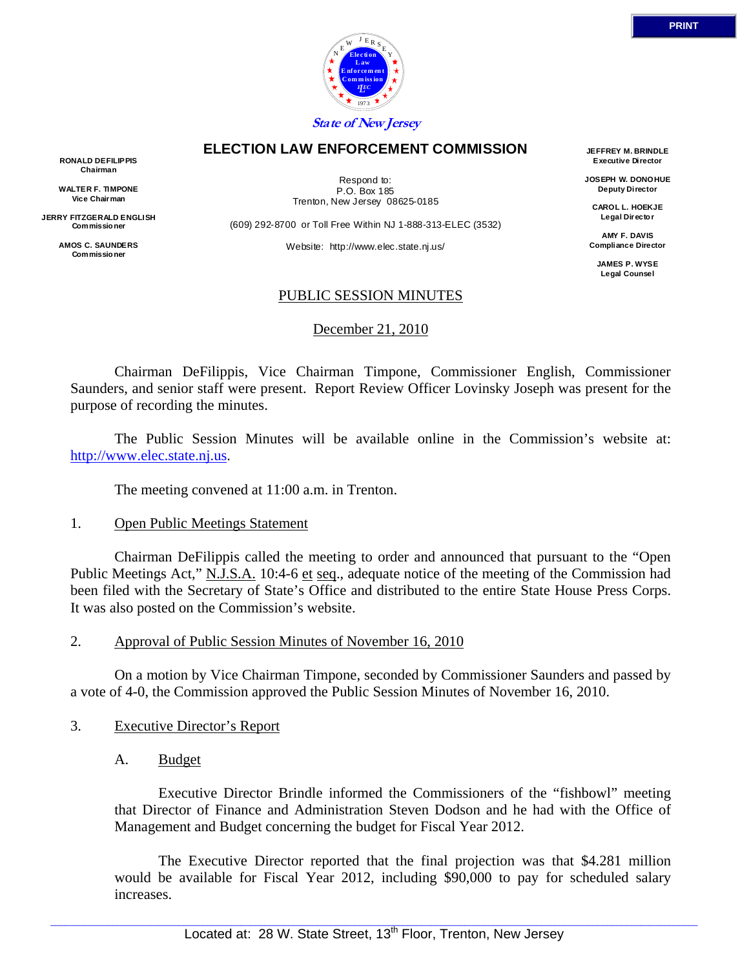

#### **ELECTION LAW ENFORCEMENT COMMISSION**

**RONALD DEFILIPPIS Chairman** 

**WALTER F. TIMPONE Vice Chairman** 

**JERRY FITZGERALD ENGLISH Commissio ner** 

> **AMOS C. SAUNDERS Commissio ner**

Respond to: P.O. Box 185 Trenton, New Jersey 08625-0185

(609) 292-8700 or Toll Free Within NJ 1-888-313-ELEC (3532)

Website: http://www.elec.state.nj.us/

**JEFFREY M. BRINDLE Executive Director** 

**JOSEPH W. DONOHUE Deputy Director** 

**CAROL L. HOEKJE Legal Directo r** 

**AMY F. DAVIS Compliance Director** 

**JAMES P. WYSE Legal Counsel** 

#### PUBLIC SESSION MINUTES

December 21, 2010

 Chairman DeFilippis, Vice Chairman Timpone, Commissioner English, Commissioner Saunders, and senior staff were present. Report Review Officer Lovinsky Joseph was present for the purpose of recording the minutes.

 The Public Session Minutes will be available online in the Commission's website at: http://www.elec.state.nj.us.

The meeting convened at 11:00 a.m. in Trenton.

#### 1. Open Public Meetings Statement

 Chairman DeFilippis called the meeting to order and announced that pursuant to the "Open Public Meetings Act," N.J.S.A. 10:4-6 et seq., adequate notice of the meeting of the Commission had been filed with the Secretary of State's Office and distributed to the entire State House Press Corps. It was also posted on the Commission's website.

#### 2. Approval of Public Session Minutes of November 16, 2010

 On a motion by Vice Chairman Timpone, seconded by Commissioner Saunders and passed by a vote of 4-0, the Commission approved the Public Session Minutes of November 16, 2010.

#### 3. Executive Director's Report

A. Budget

 Executive Director Brindle informed the Commissioners of the "fishbowl" meeting that Director of Finance and Administration Steven Dodson and he had with the Office of Management and Budget concerning the budget for Fiscal Year 2012.

 The Executive Director reported that the final projection was that \$4.281 million would be available for Fiscal Year 2012, including \$90,000 to pay for scheduled salary increases.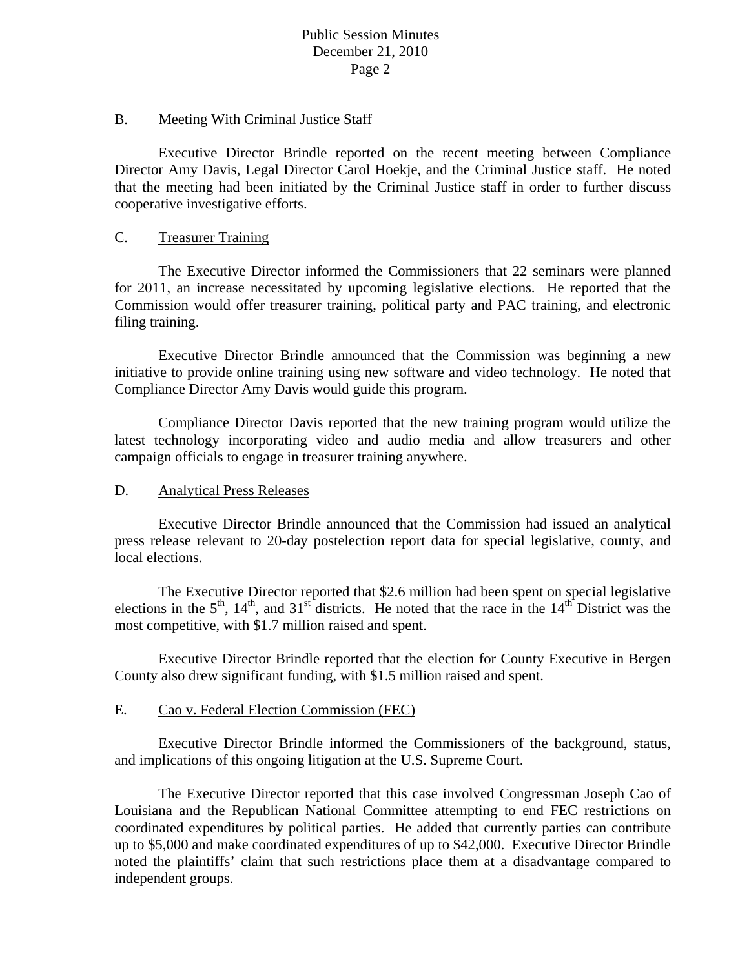#### B. Meeting With Criminal Justice Staff

 Executive Director Brindle reported on the recent meeting between Compliance Director Amy Davis, Legal Director Carol Hoekje, and the Criminal Justice staff. He noted that the meeting had been initiated by the Criminal Justice staff in order to further discuss cooperative investigative efforts.

### C. Treasurer Training

 The Executive Director informed the Commissioners that 22 seminars were planned for 2011, an increase necessitated by upcoming legislative elections. He reported that the Commission would offer treasurer training, political party and PAC training, and electronic filing training.

 Executive Director Brindle announced that the Commission was beginning a new initiative to provide online training using new software and video technology. He noted that Compliance Director Amy Davis would guide this program.

 Compliance Director Davis reported that the new training program would utilize the latest technology incorporating video and audio media and allow treasurers and other campaign officials to engage in treasurer training anywhere.

## D. Analytical Press Releases

 Executive Director Brindle announced that the Commission had issued an analytical press release relevant to 20-day postelection report data for special legislative, county, and local elections.

 The Executive Director reported that \$2.6 million had been spent on special legislative elections in the  $5<sup>th</sup>$ ,  $14<sup>th</sup>$ , and  $31<sup>st</sup>$  districts. He noted that the race in the  $14<sup>th</sup>$  District was the most competitive, with \$1.7 million raised and spent.

 Executive Director Brindle reported that the election for County Executive in Bergen County also drew significant funding, with \$1.5 million raised and spent.

# E. Cao v. Federal Election Commission (FEC)

 Executive Director Brindle informed the Commissioners of the background, status, and implications of this ongoing litigation at the U.S. Supreme Court.

 The Executive Director reported that this case involved Congressman Joseph Cao of Louisiana and the Republican National Committee attempting to end FEC restrictions on coordinated expenditures by political parties. He added that currently parties can contribute up to \$5,000 and make coordinated expenditures of up to \$42,000. Executive Director Brindle noted the plaintiffs' claim that such restrictions place them at a disadvantage compared to independent groups.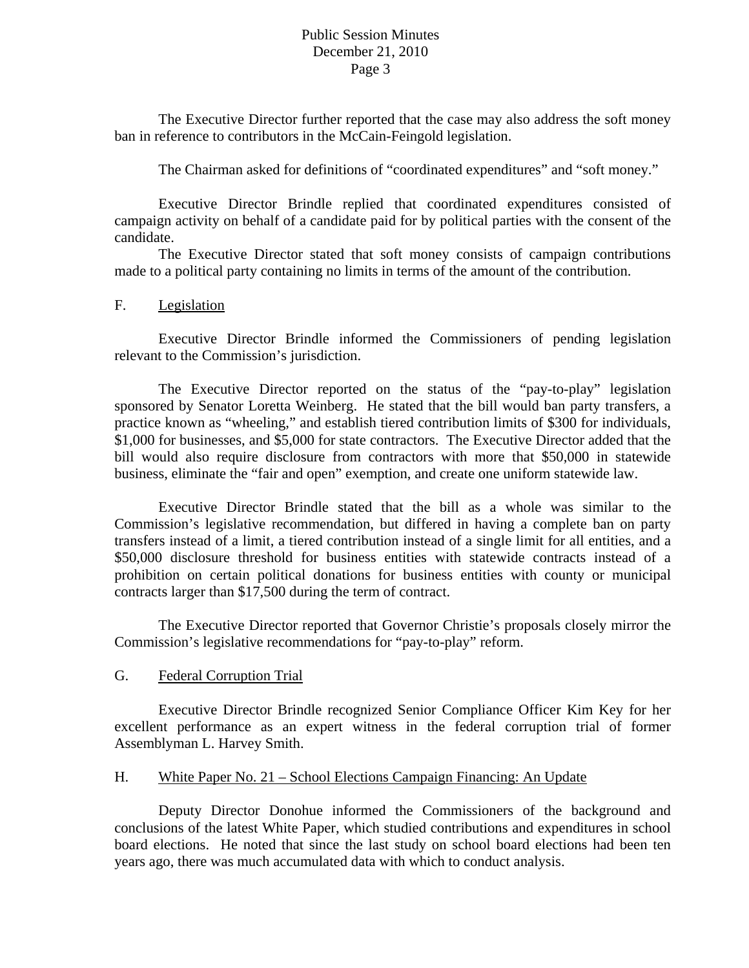The Executive Director further reported that the case may also address the soft money ban in reference to contributors in the McCain-Feingold legislation.

The Chairman asked for definitions of "coordinated expenditures" and "soft money."

 Executive Director Brindle replied that coordinated expenditures consisted of campaign activity on behalf of a candidate paid for by political parties with the consent of the candidate.

 The Executive Director stated that soft money consists of campaign contributions made to a political party containing no limits in terms of the amount of the contribution.

### F. Legislation

 Executive Director Brindle informed the Commissioners of pending legislation relevant to the Commission's jurisdiction.

 The Executive Director reported on the status of the "pay-to-play" legislation sponsored by Senator Loretta Weinberg. He stated that the bill would ban party transfers, a practice known as "wheeling," and establish tiered contribution limits of \$300 for individuals, \$1,000 for businesses, and \$5,000 for state contractors. The Executive Director added that the bill would also require disclosure from contractors with more that \$50,000 in statewide business, eliminate the "fair and open" exemption, and create one uniform statewide law.

 Executive Director Brindle stated that the bill as a whole was similar to the Commission's legislative recommendation, but differed in having a complete ban on party transfers instead of a limit, a tiered contribution instead of a single limit for all entities, and a \$50,000 disclosure threshold for business entities with statewide contracts instead of a prohibition on certain political donations for business entities with county or municipal contracts larger than \$17,500 during the term of contract.

 The Executive Director reported that Governor Christie's proposals closely mirror the Commission's legislative recommendations for "pay-to-play" reform.

## G. Federal Corruption Trial

 Executive Director Brindle recognized Senior Compliance Officer Kim Key for her excellent performance as an expert witness in the federal corruption trial of former Assemblyman L. Harvey Smith.

## H. White Paper No. 21 – School Elections Campaign Financing: An Update

 Deputy Director Donohue informed the Commissioners of the background and conclusions of the latest White Paper, which studied contributions and expenditures in school board elections. He noted that since the last study on school board elections had been ten years ago, there was much accumulated data with which to conduct analysis.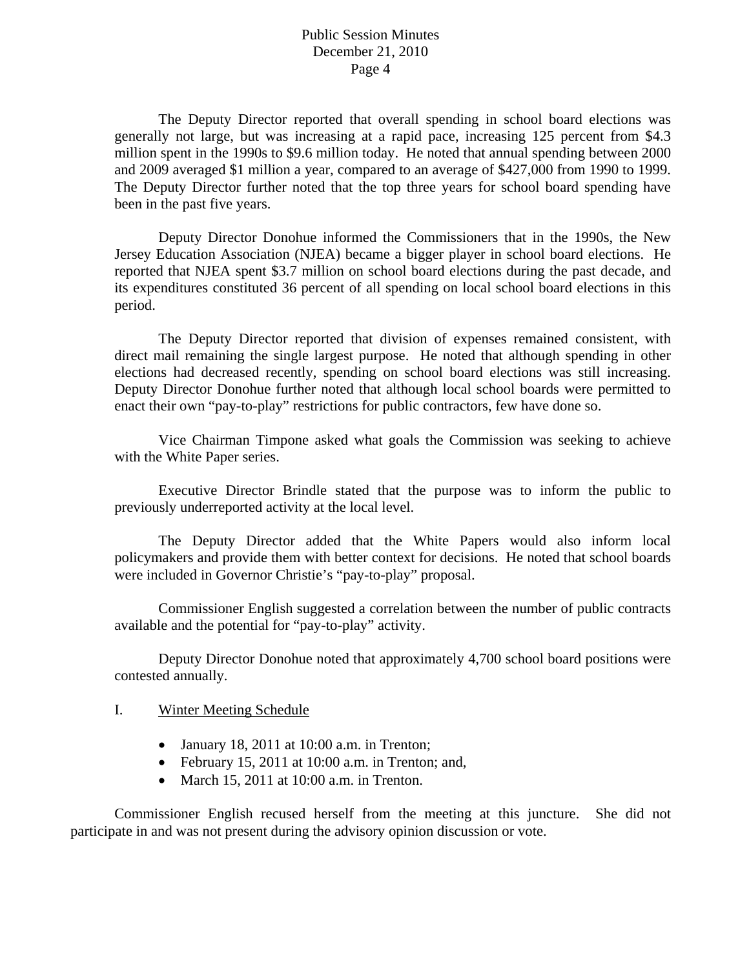The Deputy Director reported that overall spending in school board elections was generally not large, but was increasing at a rapid pace, increasing 125 percent from \$4.3 million spent in the 1990s to \$9.6 million today. He noted that annual spending between 2000 and 2009 averaged \$1 million a year, compared to an average of \$427,000 from 1990 to 1999. The Deputy Director further noted that the top three years for school board spending have been in the past five years.

 Deputy Director Donohue informed the Commissioners that in the 1990s, the New Jersey Education Association (NJEA) became a bigger player in school board elections. He reported that NJEA spent \$3.7 million on school board elections during the past decade, and its expenditures constituted 36 percent of all spending on local school board elections in this period.

 The Deputy Director reported that division of expenses remained consistent, with direct mail remaining the single largest purpose. He noted that although spending in other elections had decreased recently, spending on school board elections was still increasing. Deputy Director Donohue further noted that although local school boards were permitted to enact their own "pay-to-play" restrictions for public contractors, few have done so.

 Vice Chairman Timpone asked what goals the Commission was seeking to achieve with the White Paper series.

 Executive Director Brindle stated that the purpose was to inform the public to previously underreported activity at the local level.

 The Deputy Director added that the White Papers would also inform local policymakers and provide them with better context for decisions. He noted that school boards were included in Governor Christie's "pay-to-play" proposal.

 Commissioner English suggested a correlation between the number of public contracts available and the potential for "pay-to-play" activity.

 Deputy Director Donohue noted that approximately 4,700 school board positions were contested annually.

#### I. Winter Meeting Schedule

- January 18, 2011 at  $10:00$  a.m. in Trenton;
- February 15, 2011 at 10:00 a.m. in Trenton; and,
- March 15, 2011 at 10:00 a.m. in Trenton.

 Commissioner English recused herself from the meeting at this juncture. She did not participate in and was not present during the advisory opinion discussion or vote.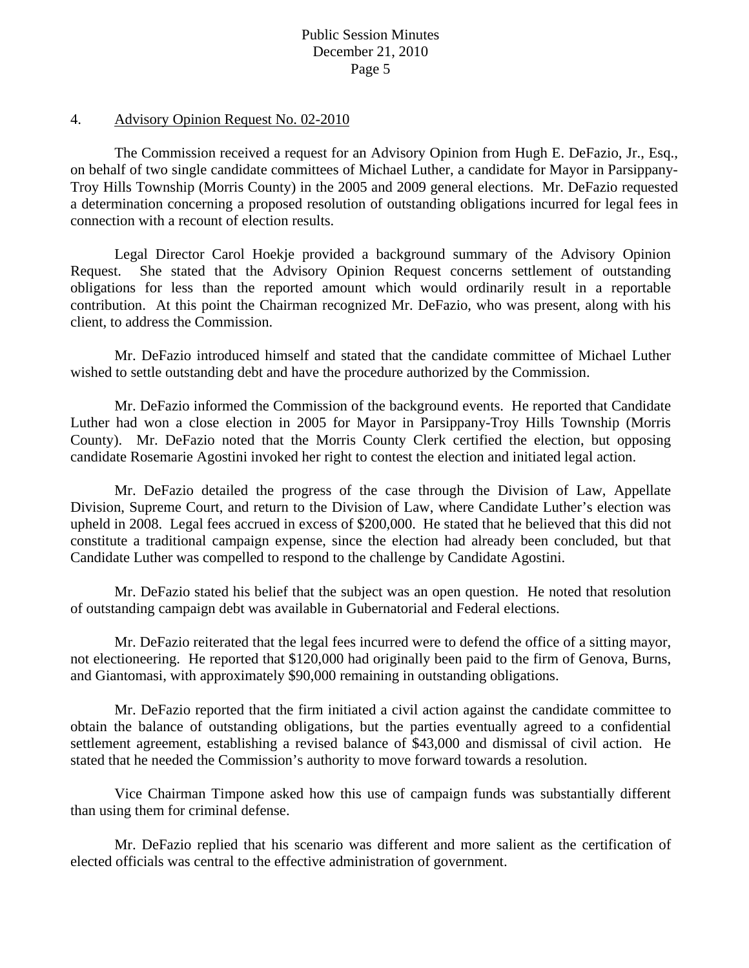#### 4. Advisory Opinion Request No. 02-2010

 The Commission received a request for an Advisory Opinion from Hugh E. DeFazio, Jr., Esq., on behalf of two single candidate committees of Michael Luther, a candidate for Mayor in Parsippany-Troy Hills Township (Morris County) in the 2005 and 2009 general elections. Mr. DeFazio requested a determination concerning a proposed resolution of outstanding obligations incurred for legal fees in connection with a recount of election results.

 Legal Director Carol Hoekje provided a background summary of the Advisory Opinion Request. She stated that the Advisory Opinion Request concerns settlement of outstanding obligations for less than the reported amount which would ordinarily result in a reportable contribution. At this point the Chairman recognized Mr. DeFazio, who was present, along with his client, to address the Commission.

 Mr. DeFazio introduced himself and stated that the candidate committee of Michael Luther wished to settle outstanding debt and have the procedure authorized by the Commission.

 Mr. DeFazio informed the Commission of the background events. He reported that Candidate Luther had won a close election in 2005 for Mayor in Parsippany-Troy Hills Township (Morris County). Mr. DeFazio noted that the Morris County Clerk certified the election, but opposing candidate Rosemarie Agostini invoked her right to contest the election and initiated legal action.

 Mr. DeFazio detailed the progress of the case through the Division of Law, Appellate Division, Supreme Court, and return to the Division of Law, where Candidate Luther's election was upheld in 2008. Legal fees accrued in excess of \$200,000. He stated that he believed that this did not constitute a traditional campaign expense, since the election had already been concluded, but that Candidate Luther was compelled to respond to the challenge by Candidate Agostini.

 Mr. DeFazio stated his belief that the subject was an open question. He noted that resolution of outstanding campaign debt was available in Gubernatorial and Federal elections.

 Mr. DeFazio reiterated that the legal fees incurred were to defend the office of a sitting mayor, not electioneering. He reported that \$120,000 had originally been paid to the firm of Genova, Burns, and Giantomasi, with approximately \$90,000 remaining in outstanding obligations.

 Mr. DeFazio reported that the firm initiated a civil action against the candidate committee to obtain the balance of outstanding obligations, but the parties eventually agreed to a confidential settlement agreement, establishing a revised balance of \$43,000 and dismissal of civil action. He stated that he needed the Commission's authority to move forward towards a resolution.

 Vice Chairman Timpone asked how this use of campaign funds was substantially different than using them for criminal defense.

 Mr. DeFazio replied that his scenario was different and more salient as the certification of elected officials was central to the effective administration of government.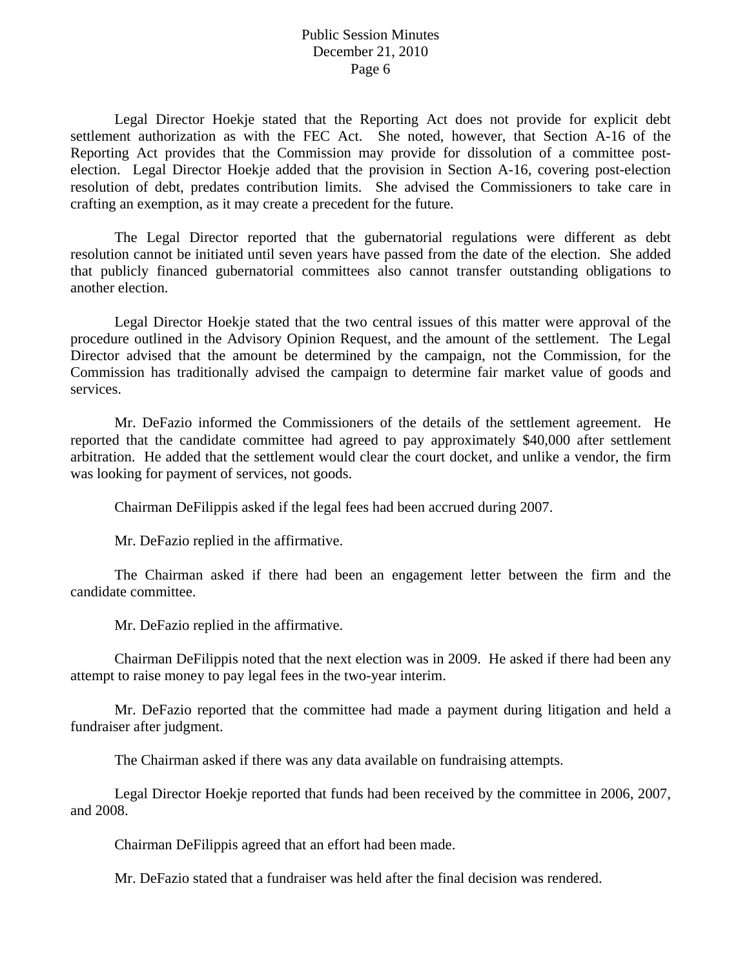Legal Director Hoekje stated that the Reporting Act does not provide for explicit debt settlement authorization as with the FEC Act. She noted, however, that Section A-16 of the Reporting Act provides that the Commission may provide for dissolution of a committee postelection. Legal Director Hoekje added that the provision in Section A-16, covering post-election resolution of debt, predates contribution limits. She advised the Commissioners to take care in crafting an exemption, as it may create a precedent for the future.

 The Legal Director reported that the gubernatorial regulations were different as debt resolution cannot be initiated until seven years have passed from the date of the election. She added that publicly financed gubernatorial committees also cannot transfer outstanding obligations to another election.

Legal Director Hoekje stated that the two central issues of this matter were approval of the procedure outlined in the Advisory Opinion Request, and the amount of the settlement. The Legal Director advised that the amount be determined by the campaign, not the Commission, for the Commission has traditionally advised the campaign to determine fair market value of goods and services.

Mr. DeFazio informed the Commissioners of the details of the settlement agreement. He reported that the candidate committee had agreed to pay approximately \$40,000 after settlement arbitration. He added that the settlement would clear the court docket, and unlike a vendor, the firm was looking for payment of services, not goods.

Chairman DeFilippis asked if the legal fees had been accrued during 2007.

Mr. DeFazio replied in the affirmative.

The Chairman asked if there had been an engagement letter between the firm and the candidate committee.

Mr. DeFazio replied in the affirmative.

Chairman DeFilippis noted that the next election was in 2009. He asked if there had been any attempt to raise money to pay legal fees in the two-year interim.

Mr. DeFazio reported that the committee had made a payment during litigation and held a fundraiser after judgment.

The Chairman asked if there was any data available on fundraising attempts.

Legal Director Hoekje reported that funds had been received by the committee in 2006, 2007, and 2008.

Chairman DeFilippis agreed that an effort had been made.

Mr. DeFazio stated that a fundraiser was held after the final decision was rendered.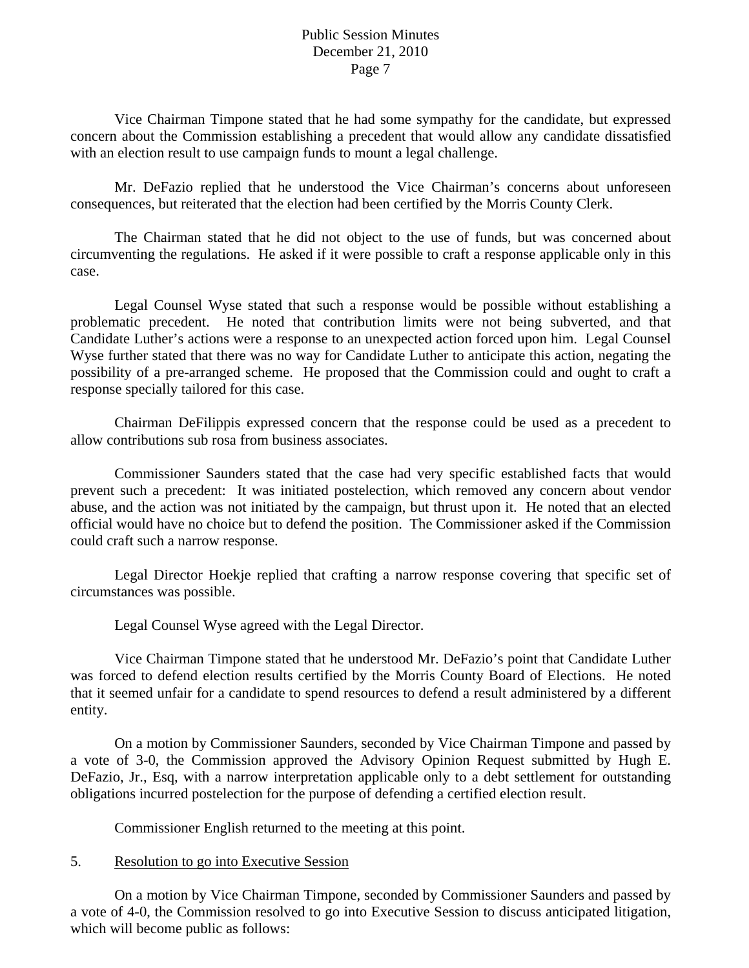Vice Chairman Timpone stated that he had some sympathy for the candidate, but expressed concern about the Commission establishing a precedent that would allow any candidate dissatisfied with an election result to use campaign funds to mount a legal challenge.

Mr. DeFazio replied that he understood the Vice Chairman's concerns about unforeseen consequences, but reiterated that the election had been certified by the Morris County Clerk.

The Chairman stated that he did not object to the use of funds, but was concerned about circumventing the regulations. He asked if it were possible to craft a response applicable only in this case.

Legal Counsel Wyse stated that such a response would be possible without establishing a problematic precedent. He noted that contribution limits were not being subverted, and that Candidate Luther's actions were a response to an unexpected action forced upon him. Legal Counsel Wyse further stated that there was no way for Candidate Luther to anticipate this action, negating the possibility of a pre-arranged scheme. He proposed that the Commission could and ought to craft a response specially tailored for this case.

Chairman DeFilippis expressed concern that the response could be used as a precedent to allow contributions sub rosa from business associates.

Commissioner Saunders stated that the case had very specific established facts that would prevent such a precedent: It was initiated postelection, which removed any concern about vendor abuse, and the action was not initiated by the campaign, but thrust upon it. He noted that an elected official would have no choice but to defend the position. The Commissioner asked if the Commission could craft such a narrow response.

Legal Director Hoekje replied that crafting a narrow response covering that specific set of circumstances was possible.

Legal Counsel Wyse agreed with the Legal Director.

Vice Chairman Timpone stated that he understood Mr. DeFazio's point that Candidate Luther was forced to defend election results certified by the Morris County Board of Elections. He noted that it seemed unfair for a candidate to spend resources to defend a result administered by a different entity.

 On a motion by Commissioner Saunders, seconded by Vice Chairman Timpone and passed by a vote of 3-0, the Commission approved the Advisory Opinion Request submitted by Hugh E. DeFazio, Jr., Esq, with a narrow interpretation applicable only to a debt settlement for outstanding obligations incurred postelection for the purpose of defending a certified election result.

Commissioner English returned to the meeting at this point.

# 5. Resolution to go into Executive Session

 On a motion by Vice Chairman Timpone, seconded by Commissioner Saunders and passed by a vote of 4-0, the Commission resolved to go into Executive Session to discuss anticipated litigation, which will become public as follows: